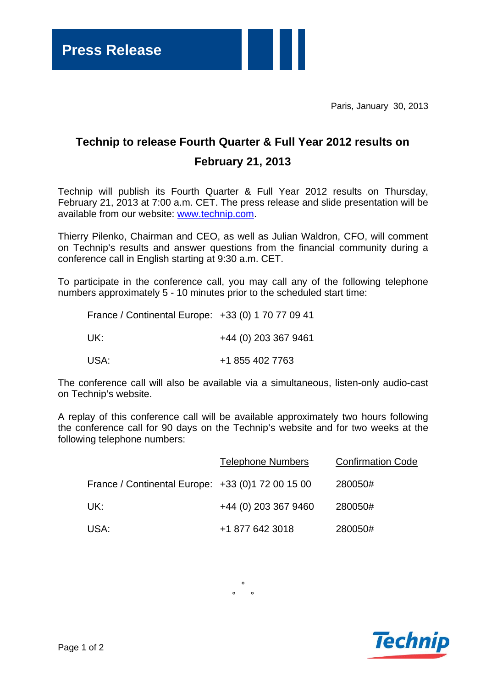Paris, January 30, 2013

## **Technip to release Fourth Quarter & Full Year 2012 results on February 21, 2013**

Technip will publish its Fourth Quarter & Full Year 2012 results on Thursday, February 21, 2013 at 7:00 a.m. CET. The press release and slide presentation will be available from our website: www.technip.com.

Thierry Pilenko, Chairman and CEO, as well as Julian Waldron, CFO, will comment on Technip's results and answer questions from the financial community during a conference call in English starting at 9:30 a.m. CET.

To participate in the conference call, you may call any of the following telephone numbers approximately 5 - 10 minutes prior to the scheduled start time:

| France / Continental Europe: +33 (0) 1 70 77 09 41 |                      |
|----------------------------------------------------|----------------------|
| UK:                                                | +44 (0) 203 367 9461 |
| USA:                                               | +1 855 402 7763      |

The conference call will also be available via a simultaneous, listen-only audio-cast on Technip's website.

A replay of this conference call will be available approximately two hours following the conference call for 90 days on the Technip's website and for two weeks at the following telephone numbers:

|                                                   | <b>Telephone Numbers</b> | <b>Confirmation Code</b> |
|---------------------------------------------------|--------------------------|--------------------------|
| France / Continental Europe: +33 (0)1 72 00 15 00 |                          | 280050#                  |
| UK:                                               | +44 (0) 203 367 9460     | 280050#                  |
| USA:                                              | +1 877 642 3018          | 280050#                  |

°  $\circ$   $\circ$